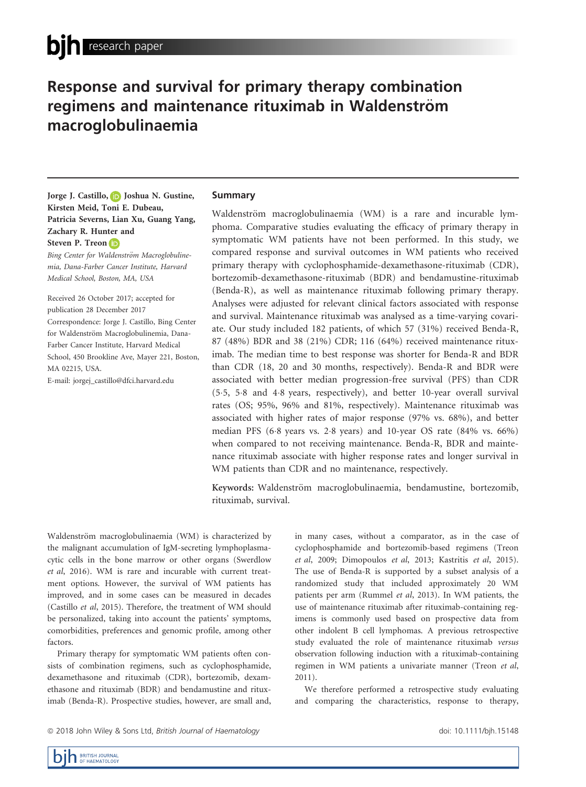# Response and survival for primary therapy combination regimens and maintenance rituximab in Waldenström macroglobulinaemia

Jorge J. Castillo[,](http://orcid.org/0000-0001-9490-7532) **D.** Joshua N. Gustine, Kirsten Meid, Toni E. Dubeau, Patricia Severns, Lian Xu, Guang Yang, Zachary R. Hunter and Steven P. Treon **D** 

Bing Center for Waldenström Macroglobulinemia, Dana-Farber Cancer Institute, Harvard Medical School, Boston, MA, USA

Received 26 October 2017; accepted for publication 28 December 2017 Correspondence: Jorge J. Castillo, Bing Center for Waldenström Macroglobulinemia, Dana-Farber Cancer Institute, Harvard Medical School, 450 Brookline Ave, Mayer 221, Boston, MA 02215, USA.

E-mail: jorgej\_castillo@dfci.harvard.edu

#### Summary

Waldenström macroglobulinaemia (WM) is a rare and incurable lymphoma. Comparative studies evaluating the efficacy of primary therapy in symptomatic WM patients have not been performed. In this study, we compared response and survival outcomes in WM patients who received primary therapy with cyclophosphamide-dexamethasone-rituximab (CDR), bortezomib-dexamethasone-rituximab (BDR) and bendamustine-rituximab (Benda-R), as well as maintenance rituximab following primary therapy. Analyses were adjusted for relevant clinical factors associated with response and survival. Maintenance rituximab was analysed as a time-varying covariate. Our study included 182 patients, of which 57 (31%) received Benda-R, 87 (48%) BDR and 38 (21%) CDR; 116 (64%) received maintenance rituximab. The median time to best response was shorter for Benda-R and BDR than CDR (18, 20 and 30 months, respectively). Benda-R and BDR were associated with better median progression-free survival (PFS) than CDR (55, 58 and 48 years, respectively), and better 10-year overall survival rates (OS; 95%, 96% and 81%, respectively). Maintenance rituximab was associated with higher rates of major response (97% vs. 68%), and better median PFS (6.8 years vs. 2.8 years) and 10-year OS rate (84% vs. 66%) when compared to not receiving maintenance. Benda-R, BDR and maintenance rituximab associate with higher response rates and longer survival in WM patients than CDR and no maintenance, respectively.

Keywords: Waldenström macroglobulinaemia, bendamustine, bortezomib, rituximab, survival.

Waldenström macroglobulinaemia (WM) is characterized by the malignant accumulation of IgM-secreting lymphoplasmacytic cells in the bone marrow or other organs (Swerdlow et al, 2016). WM is rare and incurable with current treatment options. However, the survival of WM patients has improved, and in some cases can be measured in decades (Castillo et al, 2015). Therefore, the treatment of WM should be personalized, taking into account the patients' symptoms, comorbidities, preferences and genomic profile, among other factors.

Primary therapy for symptomatic WM patients often consists of combination regimens, such as cyclophosphamide, dexamethasone and rituximab (CDR), bortezomib, dexamethasone and rituximab (BDR) and bendamustine and rituximab (Benda-R). Prospective studies, however, are small and, in many cases, without a comparator, as in the case of cyclophosphamide and bortezomib-based regimens (Treon et al, 2009; Dimopoulos et al, 2013; Kastritis et al, 2015). The use of Benda-R is supported by a subset analysis of a randomized study that included approximately 20 WM patients per arm (Rummel et al, 2013). In WM patients, the use of maintenance rituximab after rituximab-containing regimens is commonly used based on prospective data from other indolent B cell lymphomas. A previous retrospective study evaluated the role of maintenance rituximab versus observation following induction with a rituximab-containing regimen in WM patients a univariate manner (Treon et al, 2011).

We therefore performed a retrospective study evaluating and comparing the characteristics, response to therapy,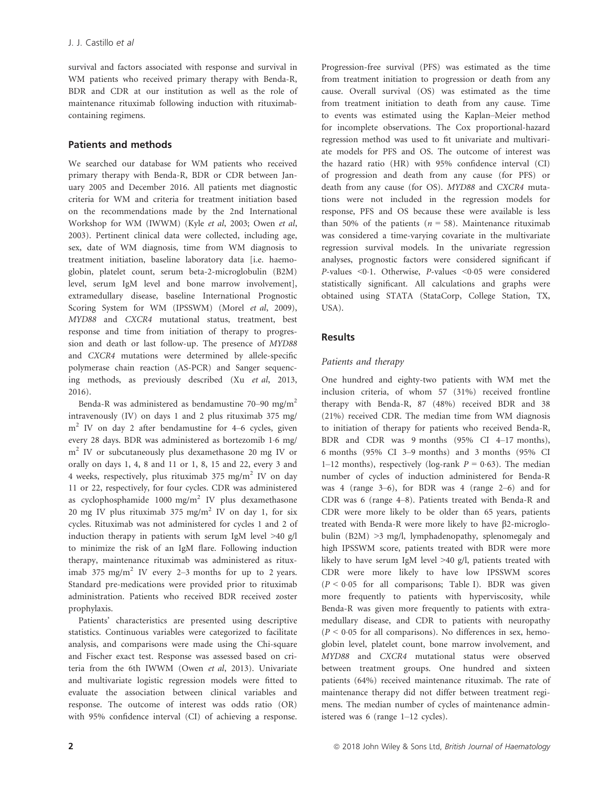survival and factors associated with response and survival in WM patients who received primary therapy with Benda-R, BDR and CDR at our institution as well as the role of maintenance rituximab following induction with rituximabcontaining regimens.

# Patients and methods

We searched our database for WM patients who received primary therapy with Benda-R, BDR or CDR between January 2005 and December 2016. All patients met diagnostic criteria for WM and criteria for treatment initiation based on the recommendations made by the 2nd International Workshop for WM (IWWM) (Kyle et al, 2003; Owen et al, 2003). Pertinent clinical data were collected, including age, sex, date of WM diagnosis, time from WM diagnosis to treatment initiation, baseline laboratory data [i.e. haemoglobin, platelet count, serum beta-2-microglobulin (B2M) level, serum IgM level and bone marrow involvement], extramedullary disease, baseline International Prognostic Scoring System for WM (IPSSWM) (Morel et al, 2009), MYD88 and CXCR4 mutational status, treatment, best response and time from initiation of therapy to progression and death or last follow-up. The presence of MYD88 and CXCR4 mutations were determined by allele-specific polymerase chain reaction (AS-PCR) and Sanger sequencing methods, as previously described (Xu et al, 2013, 2016).

Benda-R was administered as bendamustine 70–90 mg/m<sup>2</sup> intravenously (IV) on days 1 and 2 plus rituximab 375 mg/  $m<sup>2</sup>$  IV on day 2 after bendamustine for 4–6 cycles, given every 28 days. BDR was administered as bortezomib 1.6 mg/ m<sup>2</sup> IV or subcutaneously plus dexamethasone 20 mg IV or orally on days 1, 4, 8 and 11 or 1, 8, 15 and 22, every 3 and 4 weeks, respectively, plus rituximab  $375 \text{ mg/m}^2$  IV on day 11 or 22, respectively, for four cycles. CDR was administered as cyclophosphamide 1000 mg/m<sup>2</sup> IV plus dexamethasone 20 mg IV plus rituximab 375 mg/m<sup>2</sup> IV on day 1, for six cycles. Rituximab was not administered for cycles 1 and 2 of induction therapy in patients with serum IgM level >40 g/l to minimize the risk of an IgM flare. Following induction therapy, maintenance rituximab was administered as rituximab 375 mg/m<sup>2</sup> IV every 2–3 months for up to 2 years. Standard pre-medications were provided prior to rituximab administration. Patients who received BDR received zoster prophylaxis.

Patients' characteristics are presented using descriptive statistics. Continuous variables were categorized to facilitate analysis, and comparisons were made using the Chi-square and Fischer exact test. Response was assessed based on criteria from the 6th IWWM (Owen et al, 2013). Univariate and multivariate logistic regression models were fitted to evaluate the association between clinical variables and response. The outcome of interest was odds ratio (OR) with 95% confidence interval (CI) of achieving a response. Progression-free survival (PFS) was estimated as the time from treatment initiation to progression or death from any cause. Overall survival (OS) was estimated as the time from treatment initiation to death from any cause. Time to events was estimated using the Kaplan–Meier method for incomplete observations. The Cox proportional-hazard regression method was used to fit univariate and multivariate models for PFS and OS. The outcome of interest was the hazard ratio (HR) with 95% confidence interval (CI) of progression and death from any cause (for PFS) or death from any cause (for OS). MYD88 and CXCR4 mutations were not included in the regression models for response, PFS and OS because these were available is less than 50% of the patients ( $n = 58$ ). Maintenance rituximab was considered a time-varying covariate in the multivariate regression survival models. In the univariate regression analyses, prognostic factors were considered significant if P-values <0.1. Otherwise, P-values <0.05 were considered statistically significant. All calculations and graphs were obtained using STATA (StataCorp, College Station, TX, USA).

# Results

# Patients and therapy

One hundred and eighty-two patients with WM met the inclusion criteria, of whom 57 (31%) received frontline therapy with Benda-R, 87 (48%) received BDR and 38 (21%) received CDR. The median time from WM diagnosis to initiation of therapy for patients who received Benda-R, BDR and CDR was 9 months (95% CI 4–17 months), 6 months (95% CI 3–9 months) and 3 months (95% CI 1–12 months), respectively (log-rank  $P = 0.63$ ). The median number of cycles of induction administered for Benda-R was 4 (range 3–6), for BDR was 4 (range 2–6) and for CDR was 6 (range 4–8). Patients treated with Benda-R and CDR were more likely to be older than 65 years, patients treated with Benda-R were more likely to have  $\beta$ 2-microglobulin (B2M) >3 mg/l, lymphadenopathy, splenomegaly and high IPSSWM score, patients treated with BDR were more likely to have serum IgM level >40 g/l, patients treated with CDR were more likely to have low IPSSWM scores  $(P < 0.05$  for all comparisons; Table I). BDR was given more frequently to patients with hyperviscosity, while Benda-R was given more frequently to patients with extramedullary disease, and CDR to patients with neuropathy  $(P < 0.05$  for all comparisons). No differences in sex, hemoglobin level, platelet count, bone marrow involvement, and MYD88 and CXCR4 mutational status were observed between treatment groups. One hundred and sixteen patients (64%) received maintenance rituximab. The rate of maintenance therapy did not differ between treatment regimens. The median number of cycles of maintenance administered was 6 (range 1–12 cycles).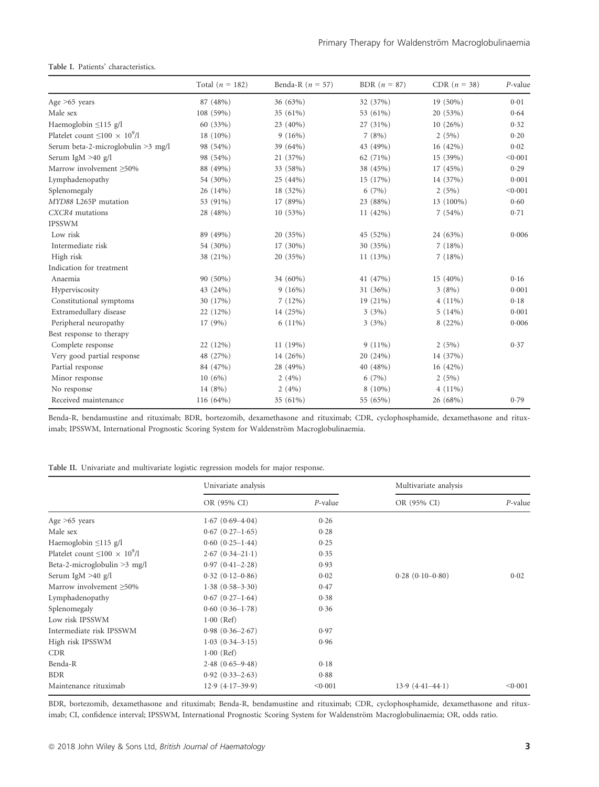# Table I. Patients' characteristics.

|                                         | Total $(n = 182)$ | Benda-R $(n = 57)$ | BDR $(n = 87)$ | CDR $(n = 38)$ | P-value |
|-----------------------------------------|-------------------|--------------------|----------------|----------------|---------|
| Age $>65$ years                         | 87 (48%)          | 36 (63%)           | 32 (37%)       | 19 (50%)       | 0.01    |
| Male sex                                | 108 (59%)         | 35 (61%)           | 53 (61%)       | 20 (53%)       | 0.64    |
| Haemoglobin ≤115 g/l                    | 60 (33%)          | 23 (40%)           | 27 (31%)       | 10(26%)        | 0.32    |
| Platelet count $\leq 100 \times 10^9/l$ | 18 (10%)          | 9(16%)             | 7(8%)          | 2(5%)          | 0.20    |
| Serum beta-2-microglobulin >3 mg/l      | 98 (54%)          | 39 (64%)           | 43 (49%)       | 16(42%)        | 0.02    |
| Serum IgM >40 g/l                       | 98 (54%)          | 21 (37%)           | 62 (71%)       | 15 (39%)       | < 0.001 |
| Marrow involvement ≥50%                 | 88 (49%)          | 33 (58%)           | 38 (45%)       | 17(45%)        | 0.29    |
| Lymphadenopathy                         | 54 (30%)          | 25 (44%)           | 15 (17%)       | 14 (37%)       | 0.001   |
| Splenomegaly                            | 26 (14%)          | 18 (32%)           | 6(7%)          | 2(5%)          | < 0.001 |
| MYD88 L265P mutation                    | 53 (91%)          | 17 (89%)           | 23 (88%)       | 13 (100%)      | 0.60    |
| CXCR4 mutations                         | 28 (48%)          | 10(53%)            | 11(42%)        | 7(54%)         | 0.71    |
| <b>IPSSWM</b>                           |                   |                    |                |                |         |
| Low risk                                | 89 (49%)          | 20 (35%)           | 45 (52%)       | 24 (63%)       | 0.006   |
| Intermediate risk                       | 54 (30%)          | 17 (30%)           | 30 (35%)       | 7(18%)         |         |
| High risk                               | 38 (21%)          | 20 (35%)           | 11(13%)        | 7(18%)         |         |
| Indication for treatment                |                   |                    |                |                |         |
| Anaemia                                 | 90 (50%)          | 34 (60%)           | 41 (47%)       | 15 (40%)       | 0.16    |
| Hyperviscosity                          | 43 (24%)          | 9(16%)             | 31 (36%)       | 3(8%)          | 0.001   |
| Constitutional symptoms                 | 30 (17%)          | 7(12%)             | 19 (21%)       | $4(11\%)$      | 0.18    |
| Extramedullary disease                  | 22 (12%)          | 14 (25%)           | 3(3%)          | 5(14%)         | 0.001   |
| Peripheral neuropathy                   | 17 (9%)           | $6(11\%)$          | 3(3%)          | 8(22%)         | 0.006   |
| Best response to therapy                |                   |                    |                |                |         |
| Complete response                       | 22 (12%)          | 11(19%)            | $9(11\%)$      | 2(5%)          | 0.37    |
| Very good partial response              | 48 (27%)          | 14 (26%)           | 20 (24%)       | 14 (37%)       |         |
| Partial response                        | 84 (47%)          | 28 (49%)           | 40 (48%)       | 16(42%)        |         |
| Minor response                          | 10(6%)            | $2(4\%)$           | 6(7%)          | 2(5%)          |         |
| No response                             | 14 (8%)           | $2(4\%)$           | 8 (10%)        | $4(11\%)$      |         |
| Received maintenance                    | 116 (64%)         | 35 (61%)           | 55 (65%)       | 26 (68%)       | 0.79    |

Benda-R, bendamustine and rituximab; BDR, bortezomib, dexamethasone and rituximab; CDR, cyclophosphamide, dexamethasone and rituximab; IPSSWM, International Prognostic Scoring System for Waldenström Macroglobulinaemia.

| Table II. Univariate and multivariate logistic regression models for major response. |  |
|--------------------------------------------------------------------------------------|--|
|--------------------------------------------------------------------------------------|--|

|                                         | Univariate analysis |         | Multivariate analysis  |         |
|-----------------------------------------|---------------------|---------|------------------------|---------|
|                                         | OR (95% CI)         | P-value | OR (95% CI)            | P-value |
| Age $>65$ years                         | $1.67(0.69 - 4.04)$ | 0.26    |                        |         |
| Male sex                                | $0.67(0.27-1.65)$   | 0.28    |                        |         |
| Haemoglobin $\leq$ 115 g/l              | $0.60(0.25-1.44)$   | 0.25    |                        |         |
| Platelet count $\leq 100 \times 10^9/l$ | $2.67(0.34-21.1)$   | 0.35    |                        |         |
| Beta-2-microglobulin $>3$ mg/l          | $0.97(0.41 - 2.28)$ | 0.93    |                        |         |
| Serum IgM $>40$ g/l                     | $0.32(0.12 - 0.86)$ | 0.02    | $0.28$ $(0.10 - 0.80)$ | 0.02    |
| Marrow involvement ≥50%                 | $1.38(0.58 - 3.30)$ | 0.47    |                        |         |
| Lymphadenopathy                         | $0.67(0.27-1.64)$   | 0.38    |                        |         |
| Splenomegaly                            | $0.60(0.36-1.78)$   | 0.36    |                        |         |
| Low risk IPSSWM                         | $1.00$ (Ref)        |         |                        |         |
| Intermediate risk IPSSWM                | $0.98(0.36-2.67)$   | 0.97    |                        |         |
| High risk IPSSWM                        | $1.03(0.34 - 3.15)$ | 0.96    |                        |         |
| <b>CDR</b>                              | $1.00$ (Ref)        |         |                        |         |
| Benda-R                                 | $2.48(0.65 - 9.48)$ | 0.18    |                        |         |
| <b>BDR</b>                              | $0.92(0.33-2.63)$   | 0.88    |                        |         |
| Maintenance rituximab                   | $12.9(4.17-39.9)$   | < 0.001 | $13.9(4.41 - 44.1)$    | < 0.001 |

BDR, bortezomib, dexamethasone and rituximab; Benda-R, bendamustine and rituximab; CDR, cyclophosphamide, dexamethasone and rituximab; CI, confidence interval; IPSSWM, International Prognostic Scoring System for Waldenström Macroglobulinaemia; OR, odds ratio.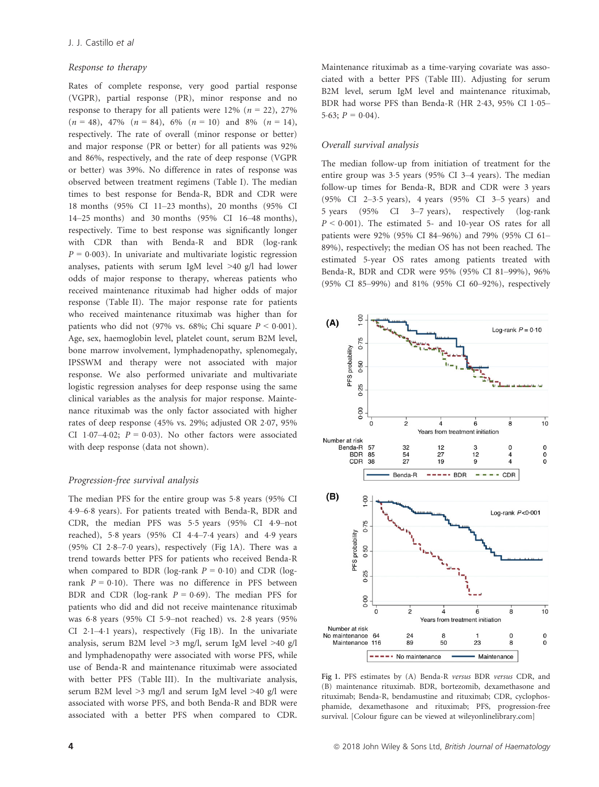#### Response to therapy

Rates of complete response, very good partial response (VGPR), partial response (PR), minor response and no response to therapy for all patients were 12% ( $n = 22$ ), 27%  $(n = 48)$ , 47%  $(n = 84)$ , 6%  $(n = 10)$  and 8%  $(n = 14)$ , respectively. The rate of overall (minor response or better) and major response (PR or better) for all patients was 92% and 86%, respectively, and the rate of deep response (VGPR or better) was 39%. No difference in rates of response was observed between treatment regimens (Table I). The median times to best response for Benda-R, BDR and CDR were 18 months (95% CI 11–23 months), 20 months (95% CI 14–25 months) and 30 months (95% CI 16–48 months), respectively. Time to best response was significantly longer with CDR than with Benda-R and BDR (log-rank  $P = 0.003$ ). In univariate and multivariate logistic regression analyses, patients with serum IgM level >40 g/l had lower odds of major response to therapy, whereas patients who received maintenance rituximab had higher odds of major response (Table II). The major response rate for patients who received maintenance rituximab was higher than for patients who did not (97% vs. 68%; Chi square  $P < 0.001$ ). Age, sex, haemoglobin level, platelet count, serum B2M level, bone marrow involvement, lymphadenopathy, splenomegaly, IPSSWM and therapy were not associated with major response. We also performed univariate and multivariate logistic regression analyses for deep response using the same clinical variables as the analysis for major response. Maintenance rituximab was the only factor associated with higher rates of deep response (45% vs. 29%; adjusted OR 207, 95% CI 1.07–4.02;  $P = 0.03$ ). No other factors were associated with deep response (data not shown).

## Progression-free survival analysis

The median PFS for the entire group was 5.8 years (95% CI 49–68 years). For patients treated with Benda-R, BDR and CDR, the median PFS was 55 years (95% CI 49–not reached), 5.8 years (95% CI 4.4-7.4 years) and 4.9 years (95% CI 2.8-7.0 years), respectively (Fig 1A). There was a trend towards better PFS for patients who received Benda-R when compared to BDR (log-rank  $P = 0.10$ ) and CDR (logrank  $P = 0.10$ ). There was no difference in PFS between BDR and CDR (log-rank  $P = 0.69$ ). The median PFS for patients who did and did not receive maintenance rituximab was 6.8 years (95% CI 5.9-not reached) vs. 2.8 years (95% CI 21–41 years), respectively (Fig 1B). In the univariate analysis, serum B2M level >3 mg/l, serum IgM level >40 g/l and lymphadenopathy were associated with worse PFS, while use of Benda-R and maintenance rituximab were associated with better PFS (Table III). In the multivariate analysis, serum B2M level >3 mg/l and serum IgM level >40 g/l were associated with worse PFS, and both Benda-R and BDR were associated with a better PFS when compared to CDR.

Maintenance rituximab as a time-varying covariate was associated with a better PFS (Table III). Adjusting for serum B2M level, serum IgM level and maintenance rituximab, BDR had worse PFS than Benda-R (HR 2-43, 95% CI 1-05– 5.63;  $P = 0.04$ ).

#### Overall survival analysis

The median follow-up from initiation of treatment for the entire group was 35 years (95% CI 3–4 years). The median follow-up times for Benda-R, BDR and CDR were 3 years (95% CI 2–3.5 years), 4 years (95% CI 3–5 years) and<br>5 years (95% CI 3–7 years), respectively ( $log-rank$ 5 years (95% CI  $3-7$  years), respectively  $P \le 0.001$ ). The estimated 5- and 10-year OS rates for all patients were 92% (95% CI 84–96%) and 79% (95% CI 61– 89%), respectively; the median OS has not been reached. The estimated 5-year OS rates among patients treated with Benda-R, BDR and CDR were 95% (95% CI 81–99%), 96% (95% CI 85–99%) and 81% (95% CI 60–92%), respectively



Fig 1. PFS estimates by (A) Benda-R versus BDR versus CDR, and (B) maintenance rituximab. BDR, bortezomib, dexamethasone and rituximab; Benda-R, bendamustine and rituximab; CDR, cyclophosphamide, dexamethasone and rituximab; PFS, progression-free survival. [Colour figure can be viewed at wileyonlinelibrary.com]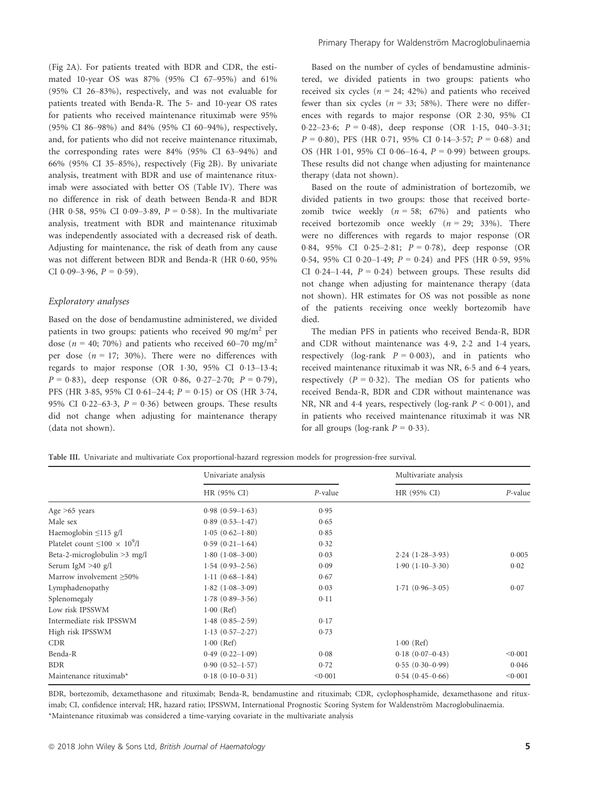(Fig 2A). For patients treated with BDR and CDR, the estimated 10-year OS was 87% (95% CI 67–95%) and 61% (95% CI 26–83%), respectively, and was not evaluable for patients treated with Benda-R. The 5- and 10-year OS rates for patients who received maintenance rituximab were 95% (95% CI 86–98%) and 84% (95% CI 60–94%), respectively, and, for patients who did not receive maintenance rituximab, the corresponding rates were 84% (95% CI 63–94%) and 66% (95% CI 35–85%), respectively (Fig 2B). By univariate analysis, treatment with BDR and use of maintenance rituximab were associated with better OS (Table IV). There was no difference in risk of death between Benda-R and BDR (HR 0.58, 95% CI 0.09–3.89,  $P = 0.58$ ). In the multivariate analysis, treatment with BDR and maintenance rituximab was independently associated with a decreased risk of death. Adjusting for maintenance, the risk of death from any cause was not different between BDR and Benda-R (HR 0.60, 95% CI 0.09–3.96,  $P = 0.59$ ).

## Exploratory analyses

Based on the dose of bendamustine administered, we divided patients in two groups: patients who received 90 mg/m<sup>2</sup> per dose ( $n = 40$ ; 70%) and patients who received 60–70 mg/m<sup>2</sup> per dose  $(n = 17; 30\%)$ . There were no differences with regards to major response (OR 130, 95% CI 013–134;  $P = 0.83$ ), deep response (OR 0.86, 0.27–2.70;  $P = 0.79$ ), PFS (HR 3.85, 95% CI 0.61-24.4;  $P = 0.15$ ) or OS (HR 3.74, 95% CI 0.22–63.3,  $P = 0.36$ ) between groups. These results did not change when adjusting for maintenance therapy (data not shown).

Based on the number of cycles of bendamustine administered, we divided patients in two groups: patients who received six cycles ( $n = 24$ ; 42%) and patients who received fewer than six cycles ( $n = 33$ ; 58%). There were no differences with regards to major response (OR 230, 95% CI 0.22–23.6;  $P = 0.48$ ), deep response (OR 1.15, 040–3.31;  $P = 0.80$ , PFS (HR 0.71, 95% CI 0.14–3.57;  $P = 0.68$ ) and OS (HR 1.01, 95% CI 0.06–16.4,  $P = 0.99$ ) between groups. These results did not change when adjusting for maintenance therapy (data not shown).

Based on the route of administration of bortezomib, we divided patients in two groups: those that received bortezomib twice weekly  $(n = 58; 67%)$  and patients who received bortezomib once weekly  $(n = 29; 33%)$ . There were no differences with regards to major response (OR 0.84, 95% CI 0.25–2.81;  $P = 0.78$ ), deep response (OR 0.54, 95% CI 0.20–1.49;  $P = 0.24$ ) and PFS (HR 0.59, 95% CI 0.24–1.44,  $P = 0.24$ ) between groups. These results did not change when adjusting for maintenance therapy (data not shown). HR estimates for OS was not possible as none of the patients receiving once weekly bortezomib have died.

The median PFS in patients who received Benda-R, BDR and CDR without maintenance was 4.9, 2.2 and 1.4 years, respectively (log-rank  $P = 0.003$ ), and in patients who received maintenance rituximab it was NR, 6.5 and 6.4 years, respectively ( $P = 0.32$ ). The median OS for patients who received Benda-R, BDR and CDR without maintenance was NR, NR and 4.4 years, respectively (log-rank  $P < 0.001$ ), and in patients who received maintenance rituximab it was NR for all groups (log-rank  $P = 0.33$ ).

|  |  | Table III. Univariate and multivariate Cox proportional-hazard regression models for progression-free survival. |  |  |
|--|--|-----------------------------------------------------------------------------------------------------------------|--|--|
|  |  |                                                                                                                 |  |  |

|                                         | Univariate analysis    |            | Multivariate analysis |            |
|-----------------------------------------|------------------------|------------|-----------------------|------------|
|                                         | HR (95% CI)            | $P$ -value | HR (95% CI)           | $P$ -value |
| Age $>65$ years                         | $0.98(0.59-1.63)$      | 0.95       |                       |            |
| Male sex                                | $0.89(0.53 - 1.47)$    | 0.65       |                       |            |
| Haemoglobin $\leq$ 115 g/l              | $1.05(0.62 - 1.80)$    | 0.85       |                       |            |
| Platelet count $\leq 100 \times 10^9/l$ | $0.59(0.21-1.64)$      | 0.32       |                       |            |
| Beta-2-microglobulin $>3$ mg/l          | $1.80(1.08-3.00)$      | 0.03       | $2.24(1.28-3.93)$     | 0.005      |
| Serum IgM $>40$ g/l                     | $1.54(0.93-2.56)$      | 0.09       | $1.90(1.10-3.30)$     | 0.02       |
| Marrow involvement $\geq 50\%$          | $1.11(0.68-1.84)$      | 0.67       |                       |            |
| Lymphadenopathy                         | $1.82$ $(1.08 - 3.09)$ | 0.03       | $1.71(0.96-3.05)$     | 0.07       |
| Splenomegaly                            | $1.78(0.89 - 3.56)$    | 0.11       |                       |            |
| Low risk IPSSWM                         | $1.00$ (Ref)           |            |                       |            |
| Intermediate risk IPSSWM                | $1.48(0.85-2.59)$      | 0.17       |                       |            |
| High risk IPSSWM                        | $1.13(0.57-2.27)$      | 0.73       |                       |            |
| <b>CDR</b>                              | $1.00$ (Ref)           |            | $1.00$ (Ref)          |            |
| Benda-R                                 | $0.49(0.22 - 1.09)$    | 0.08       | $0.18(0.07-0.43)$     | < 0.001    |
| <b>BDR</b>                              | $0.90(0.52 - 1.57)$    | 0.72       | $0.55(0.30-0.99)$     | 0.046      |
| Maintenance rituximab*                  | $0.18(0.10-0.31)$      | < 0.001    | $0.54(0.45-0.66)$     | < 0.001    |

BDR, bortezomib, dexamethasone and rituximab; Benda-R, bendamustine and rituximab; CDR, cyclophosphamide, dexamethasone and rituximab; CI, confidence interval; HR, hazard ratio; IPSSWM, International Prognostic Scoring System for Waldenström Macroglobulinaemia. \*Maintenance rituximab was considered a time-varying covariate in the multivariate analysis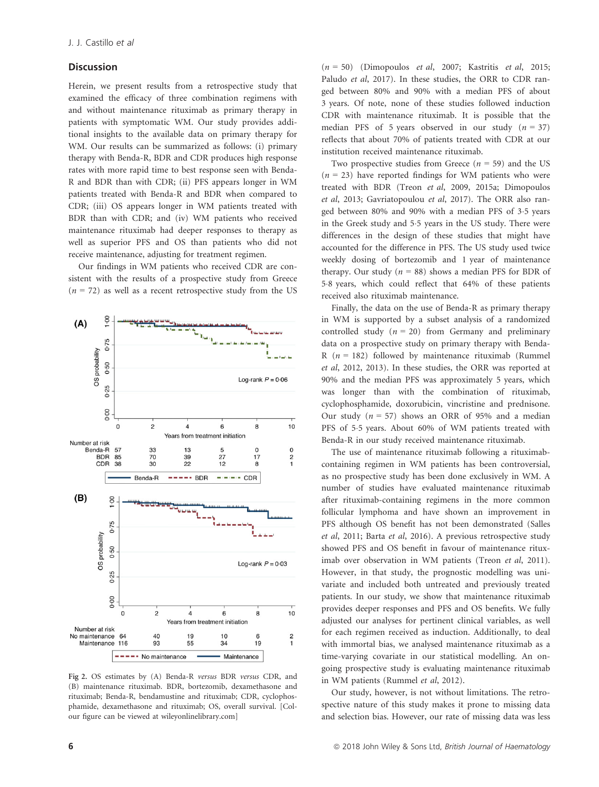## **Discussion**

Herein, we present results from a retrospective study that examined the efficacy of three combination regimens with and without maintenance rituximab as primary therapy in patients with symptomatic WM. Our study provides additional insights to the available data on primary therapy for WM. Our results can be summarized as follows: (i) primary therapy with Benda-R, BDR and CDR produces high response rates with more rapid time to best response seen with Benda-R and BDR than with CDR; (ii) PFS appears longer in WM patients treated with Benda-R and BDR when compared to CDR; (iii) OS appears longer in WM patients treated with BDR than with CDR; and (iv) WM patients who received maintenance rituximab had deeper responses to therapy as well as superior PFS and OS than patients who did not receive maintenance, adjusting for treatment regimen.

Our findings in WM patients who received CDR are consistent with the results of a prospective study from Greece  $(n = 72)$  as well as a recent retrospective study from the US



Fig 2. OS estimates by (A) Benda-R versus BDR versus CDR, and (B) maintenance rituximab. BDR, bortezomib, dexamethasone and rituximab; Benda-R, bendamustine and rituximab; CDR, cyclophosphamide, dexamethasone and rituximab; OS, overall survival. [Colour figure can be viewed at wileyonlinelibrary.com]

 $(n = 50)$  (Dimopoulos *et al*, 2007; Kastritis *et al*, 2015; Paludo et al, 2017). In these studies, the ORR to CDR ranged between 80% and 90% with a median PFS of about 3 years. Of note, none of these studies followed induction CDR with maintenance rituximab. It is possible that the median PFS of 5 years observed in our study  $(n = 37)$ reflects that about 70% of patients treated with CDR at our institution received maintenance rituximab.

Two prospective studies from Greece ( $n = 59$ ) and the US  $(n = 23)$  have reported findings for WM patients who were treated with BDR (Treon et al, 2009, 2015a; Dimopoulos et al, 2013; Gavriatopoulou et al, 2017). The ORR also ranged between 80% and 90% with a median PFS of 3.5 years in the Greek study and 5.5 years in the US study. There were differences in the design of these studies that might have accounted for the difference in PFS. The US study used twice weekly dosing of bortezomib and 1 year of maintenance therapy. Our study ( $n = 88$ ) shows a median PFS for BDR of 58 years, which could reflect that 64% of these patients received also rituximab maintenance.

Finally, the data on the use of Benda-R as primary therapy in WM is supported by a subset analysis of a randomized controlled study  $(n = 20)$  from Germany and preliminary data on a prospective study on primary therapy with Benda-R ( $n = 182$ ) followed by maintenance rituximab (Rummel et al, 2012, 2013). In these studies, the ORR was reported at 90% and the median PFS was approximately 5 years, which was longer than with the combination of rituximab, cyclophosphamide, doxorubicin, vincristine and prednisone. Our study ( $n = 57$ ) shows an ORR of 95% and a median PFS of 5.5 years. About 60% of WM patients treated with Benda-R in our study received maintenance rituximab.

The use of maintenance rituximab following a rituximabcontaining regimen in WM patients has been controversial, as no prospective study has been done exclusively in WM. A number of studies have evaluated maintenance rituximab after rituximab-containing regimens in the more common follicular lymphoma and have shown an improvement in PFS although OS benefit has not been demonstrated (Salles et al, 2011; Barta et al, 2016). A previous retrospective study showed PFS and OS benefit in favour of maintenance rituximab over observation in WM patients (Treon et al, 2011). However, in that study, the prognostic modelling was univariate and included both untreated and previously treated patients. In our study, we show that maintenance rituximab provides deeper responses and PFS and OS benefits. We fully adjusted our analyses for pertinent clinical variables, as well for each regimen received as induction. Additionally, to deal with immortal bias, we analysed maintenance rituximab as a time-varying covariate in our statistical modelling. An ongoing prospective study is evaluating maintenance rituximab in WM patients (Rummel et al, 2012).

Our study, however, is not without limitations. The retrospective nature of this study makes it prone to missing data and selection bias. However, our rate of missing data was less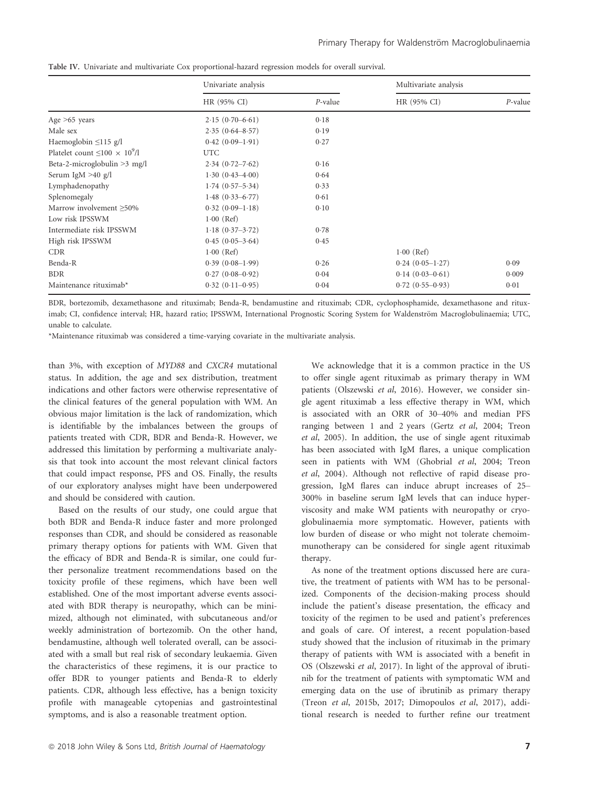|                                         | Univariate analysis |            | Multivariate analysis |            |  |
|-----------------------------------------|---------------------|------------|-----------------------|------------|--|
|                                         | HR (95% CI)         | $P$ -value | HR (95% CI)           | $P$ -value |  |
| Age $>65$ years                         | $2.15(0.70 - 6.61)$ | 0.18       |                       |            |  |
| Male sex                                | $2.35(0.64 - 8.57)$ | 0.19       |                       |            |  |
| Haemoglobin ≤115 g/l                    | $0.42(0.09-1.91)$   | 0.27       |                       |            |  |
| Platelet count $\leq 100 \times 10^9/l$ | <b>UTC</b>          |            |                       |            |  |
| Beta-2-microglobulin >3 mg/l            | $2.34(0.72 - 7.62)$ | 0.16       |                       |            |  |
| Serum IgM $>40$ g/l                     | $1.30(0.43 - 4.00)$ | 0.64       |                       |            |  |
| Lymphadenopathy                         | $1.74(0.57 - 5.34)$ | 0.33       |                       |            |  |
| Splenomegaly                            | $1.48(0.33 - 6.77)$ | 0.61       |                       |            |  |
| Marrow involvement ≥50%                 | $0.32(0.09-1.18)$   | 0.10       |                       |            |  |
| Low risk IPSSWM                         | $1.00$ (Ref)        |            |                       |            |  |
| Intermediate risk IPSSWM                | $1.18(0.37 - 3.72)$ | 0.78       |                       |            |  |
| High risk IPSSWM                        | $0.45(0.05-3.64)$   | 0.45       |                       |            |  |
| <b>CDR</b>                              | $1.00$ (Ref)        |            | $1.00$ (Ref)          |            |  |
| Benda-R                                 | $0.39(0.08-1.99)$   | 0.26       | $0.24(0.05-1.27)$     | 0.09       |  |
| <b>BDR</b>                              | $0.27(0.08-0.92)$   | 0.04       | $0.14(0.03-0.61)$     | 0.009      |  |
| Maintenance rituximab*                  | $0.32(0.11-0.95)$   | 0.04       | $0.72(0.55-0.93)$     | 0.01       |  |

Table IV. Univariate and multivariate Cox proportional-hazard regression models for overall survival.

BDR, bortezomib, dexamethasone and rituximab; Benda-R, bendamustine and rituximab; CDR, cyclophosphamide, dexamethasone and rituximab; CI, confidence interval; HR, hazard ratio; IPSSWM, International Prognostic Scoring System for Waldenström Macroglobulinaemia; UTC, unable to calculate.

\*Maintenance rituximab was considered a time-varying covariate in the multivariate analysis.

than 3%, with exception of MYD88 and CXCR4 mutational status. In addition, the age and sex distribution, treatment indications and other factors were otherwise representative of the clinical features of the general population with WM. An obvious major limitation is the lack of randomization, which is identifiable by the imbalances between the groups of patients treated with CDR, BDR and Benda-R. However, we addressed this limitation by performing a multivariate analysis that took into account the most relevant clinical factors that could impact response, PFS and OS. Finally, the results of our exploratory analyses might have been underpowered and should be considered with caution.

Based on the results of our study, one could argue that both BDR and Benda-R induce faster and more prolonged responses than CDR, and should be considered as reasonable primary therapy options for patients with WM. Given that the efficacy of BDR and Benda-R is similar, one could further personalize treatment recommendations based on the toxicity profile of these regimens, which have been well established. One of the most important adverse events associated with BDR therapy is neuropathy, which can be minimized, although not eliminated, with subcutaneous and/or weekly administration of bortezomib. On the other hand, bendamustine, although well tolerated overall, can be associated with a small but real risk of secondary leukaemia. Given the characteristics of these regimens, it is our practice to offer BDR to younger patients and Benda-R to elderly patients. CDR, although less effective, has a benign toxicity profile with manageable cytopenias and gastrointestinal symptoms, and is also a reasonable treatment option.

We acknowledge that it is a common practice in the US to offer single agent rituximab as primary therapy in WM patients (Olszewski et al, 2016). However, we consider single agent rituximab a less effective therapy in WM, which is associated with an ORR of 30–40% and median PFS ranging between 1 and 2 years (Gertz et al, 2004; Treon et al, 2005). In addition, the use of single agent rituximab has been associated with IgM flares, a unique complication seen in patients with WM (Ghobrial et al, 2004; Treon et al, 2004). Although not reflective of rapid disease progression, IgM flares can induce abrupt increases of 25– 300% in baseline serum IgM levels that can induce hyperviscosity and make WM patients with neuropathy or cryoglobulinaemia more symptomatic. However, patients with low burden of disease or who might not tolerate chemoimmunotherapy can be considered for single agent rituximab therapy.

As none of the treatment options discussed here are curative, the treatment of patients with WM has to be personalized. Components of the decision-making process should include the patient's disease presentation, the efficacy and toxicity of the regimen to be used and patient's preferences and goals of care. Of interest, a recent population-based study showed that the inclusion of rituximab in the primary therapy of patients with WM is associated with a benefit in OS (Olszewski et al, 2017). In light of the approval of ibrutinib for the treatment of patients with symptomatic WM and emerging data on the use of ibrutinib as primary therapy (Treon et al, 2015b, 2017; Dimopoulos et al, 2017), additional research is needed to further refine our treatment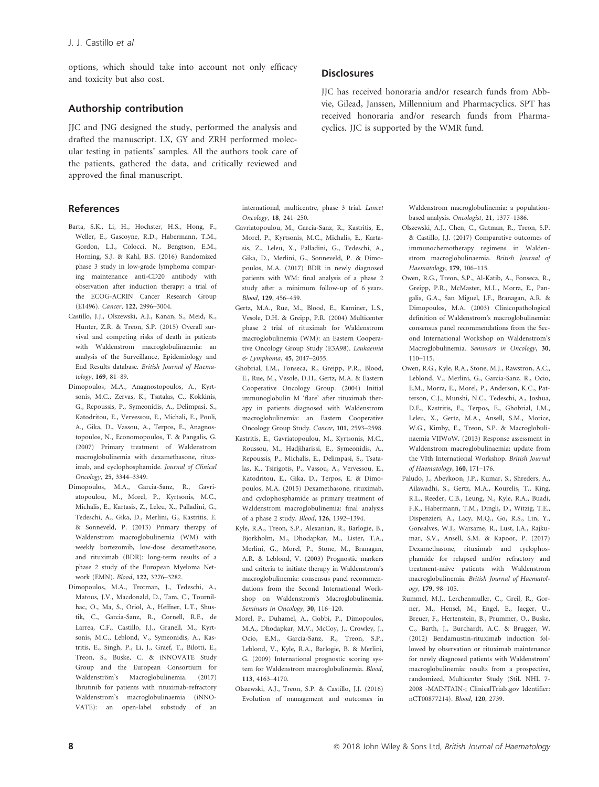options, which should take into account not only efficacy and toxicity but also cost.

## Authorship contribution

JJC and JNG designed the study, performed the analysis and drafted the manuscript. LX, GY and ZRH performed molecular testing in patients' samples. All the authors took care of the patients, gathered the data, and critically reviewed and approved the final manuscript.

#### References

- Barta, S.K., Li, H., Hochster, H.S., Hong, F., Weller, E., Gascoyne, R.D., Habermann, T.M., Gordon, L.I., Colocci, N., Bengtson, E.M., Horning, S.J. & Kahl, B.S. (2016) Randomized phase 3 study in low-grade lymphoma comparing maintenance anti-CD20 antibody with observation after induction therapy: a trial of the ECOG-ACRIN Cancer Research Group (E1496). Cancer, 122, 2996–3004.
- Castillo, J.J., Olszewski, A.J., Kanan, S., Meid, K., Hunter, Z.R. & Treon, S.P. (2015) Overall survival and competing risks of death in patients with Waldenstrom macroglobulinaemia: an analysis of the Surveillance, Epidemiology and End Results database. British Journal of Haematology, 169, 81–89.
- Dimopoulos, M.A., Anagnostopoulos, A., Kyrtsonis, M.C., Zervas, K., Tsatalas, C., Kokkinis, G., Repoussis, P., Symeonidis, A., Delimpasi, S., Katodritou, E., Vervessou, E., Michali, E., Pouli, A., Gika, D., Vassou, A., Terpos, E., Anagnostopoulos, N., Economopoulos, T. & Pangalis, G. (2007) Primary treatment of Waldenstrom macroglobulinemia with dexamethasone, rituximab, and cyclophosphamide. Journal of Clinical Oncology, 25, 3344–3349.
- Dimopoulos, M.A., Garcia-Sanz, R., Gavriatopoulou, M., Morel, P., Kyrtsonis, M.C., Michalis, E., Kartasis, Z., Leleu, X., Palladini, G., Tedeschi, A., Gika, D., Merlini, G., Kastritis, E. & Sonneveld, P. (2013) Primary therapy of Waldenstrom macroglobulinemia (WM) with weekly bortezomib, low-dose dexamethasone, and rituximab (BDR): long-term results of a phase 2 study of the European Myeloma Network (EMN). Blood, 122, 3276–3282.
- Dimopoulos, M.A., Trotman, J., Tedeschi, A., Matous, J.V., Macdonald, D., Tam, C., Tournilhac, O., Ma, S., Oriol, A., Heffner, L.T., Shustik, C., Garcia-Sanz, R., Cornell, R.F., de Larrea, C.F., Castillo, J.J., Granell, M., Kyrtsonis, M.C., Leblond, V., Symeonidis, A., Kastritis, E., Singh, P., Li, J., Graef, T., Bilotti, E., Treon, S., Buske, C. & iNNOVATE Study Group and the European Consortium for Waldenström's Macroglobulinemia. (2017) Ibrutinib for patients with rituximab-refractory Waldenstrom's macroglobulinaemia (iNNO-VATE): an open-label substudy of an

international, multicentre, phase 3 trial. Lancet Oncology, 18, 241–250.

- Gavriatopoulou, M., Garcia-Sanz, R., Kastritis, E., Morel, P., Kyrtsonis, M.C., Michalis, E., Kartasis, Z., Leleu, X., Palladini, G., Tedeschi, A., Gika, D., Merlini, G., Sonneveld, P. & Dimopoulos, M.A. (2017) BDR in newly diagnosed patients with WM: final analysis of a phase 2 study after a minimum follow-up of 6 years. Blood, 129, 456–459.
- Gertz, M.A., Rue, M., Blood, E., Kaminer, L.S., Vesole, D.H. & Greipp, P.R. (2004) Multicenter phase 2 trial of rituximab for Waldenstrom macroglobulinemia (WM): an Eastern Cooperative Oncology Group Study (E3A98). Leukaemia & Lymphoma, 45, 2047–2055.
- Ghobrial, I.M., Fonseca, R., Greipp, P.R., Blood, E., Rue, M., Vesole, D.H., Gertz, M.A. & Eastern Cooperative Oncology Group. (2004) Initial immunoglobulin M 'flare' after rituximab therapy in patients diagnosed with Waldenstrom macroglobulinemia: an Eastern Cooperative Oncology Group Study. Cancer, 101, 2593–2598.
- Kastritis, E., Gavriatopoulou, M., Kyrtsonis, M.C., Roussou, M., Hadjiharissi, E., Symeonidis, A., Repoussis, P., Michalis, E., Delimpasi, S., Tsatalas, K., Tsirigotis, P., Vassou, A., Vervessou, E., Katodritou, E., Gika, D., Terpos, E. & Dimopoulos, M.A. (2015) Dexamethasone, rituximab, and cyclophosphamide as primary treatment of Waldenstrom macroglobulinemia: final analysis of a phase 2 study. Blood, 126, 1392–1394.
- Kyle, R.A., Treon, S.P., Alexanian, R., Barlogie, B., Bjorkholm, M., Dhodapkar, M., Lister, T.A., Merlini, G., Morel, P., Stone, M., Branagan, A.R. & Leblond, V. (2003) Prognostic markers and criteria to initiate therapy in Waldenstrom's macroglobulinemia: consensus panel recommendations from the Second International Workshop on Waldenstrom's Macroglobulinemia. Seminars in Oncology, 30, 116–120.
- Morel, P., Duhamel, A., Gobbi, P., Dimopoulos, M.A., Dhodapkar, M.V., McCoy, J., Crowley, J., Ocio, E.M., Garcia-Sanz, R., Treon, S.P., Leblond, V., Kyle, R.A., Barlogie, B. & Merlini, G. (2009) International prognostic scoring system for Waldenstrom macroglobulinemia. Blood, 113, 4163–4170.
- Olszewski, A.J., Treon, S.P. & Castillo, J.J. (2016) Evolution of management and outcomes in

#### **Disclosures**

JJC has received honoraria and/or research funds from Abbvie, Gilead, Janssen, Millennium and Pharmacyclics. SPT has received honoraria and/or research funds from Pharmacyclics. JJC is supported by the WMR fund.

> Waldenstrom macroglobulinemia: a populationbased analysis. Oncologist, 21, 1377–1386.

- Olszewski, A.J., Chen, C., Gutman, R., Treon, S.P. & Castillo, J.J. (2017) Comparative outcomes of immunochemotherapy regimens in Waldenstrom macroglobulinaemia. British Journal of Haematology, 179, 106–115.
- Owen, R.G., Treon, S.P., Al-Katib, A., Fonseca, R., Greipp, P.R., McMaster, M.L., Morra, E., Pangalis, G.A., San Miguel, J.F., Branagan, A.R. & Dimopoulos, M.A. (2003) Clinicopathological definition of Waldenstrom's macroglobulinemia: consensus panel recommendations from the Second International Workshop on Waldenstrom's Macroglobulinemia. Seminars in Oncology, 30, 110–115.
- Owen, R.G., Kyle, R.A., Stone, M.J., Rawstron, A.C., Leblond, V., Merlini, G., Garcia-Sanz, R., Ocio, E.M., Morra, E., Morel, P., Anderson, K.C., Patterson, C.J., Munshi, N.C., Tedeschi, A., Joshua, D.E., Kastritis, E., Terpos, E., Ghobrial, I.M., Leleu, X., Gertz, M.A., Ansell, S.M., Morice, W.G., Kimby, E., Treon, S.P. & Macroglobulinaemia VIIWoW. (2013) Response assessment in Waldenstrom macroglobulinaemia: update from the VIth International Workshop. British Journal of Haematology, 160, 171–176.
- Paludo, J., Abeykoon, J.P., Kumar, S., Shreders, A., Ailawadhi, S., Gertz, M.A., Kourelis, T., King, R.L., Reeder, C.B., Leung, N., Kyle, R.A., Buadi, F.K., Habermann, T.M., Dingli, D., Witzig, T.E., Dispenzieri, A., Lacy, M.Q., Go, R.S., Lin, Y., Gonsalves, W.I., Warsame, R., Lust, J.A., Rajkumar, S.V., Ansell, S.M. & Kapoor, P. (2017) Dexamethasone, rituximab and cyclophosphamide for relapsed and/or refractory and treatment-naive patients with Waldenstrom macroglobulinemia. British Journal of Haematology, 179, 98–105.
- Rummel, M.J., Lerchenmuller, C., Greil, R., Gorner, M., Hensel, M., Engel, E., Jaeger, U., Breuer, F., Hertenstein, B., Prummer, O., Buske, C., Barth, J., Burchardt, A.C. & Brugger, W. (2012) Bendamustin-rituximab induction followed by observation or rituximab maintenance for newly diagnosed patients with Waldenstrom' macroglobulinemia: results from a prospective, randomized, Multicenter Study (StiL NHL 7- 2008 -MAINTAIN-; ClinicalTrials.gov Identifier: nCT00877214). Blood, 120, 2739.